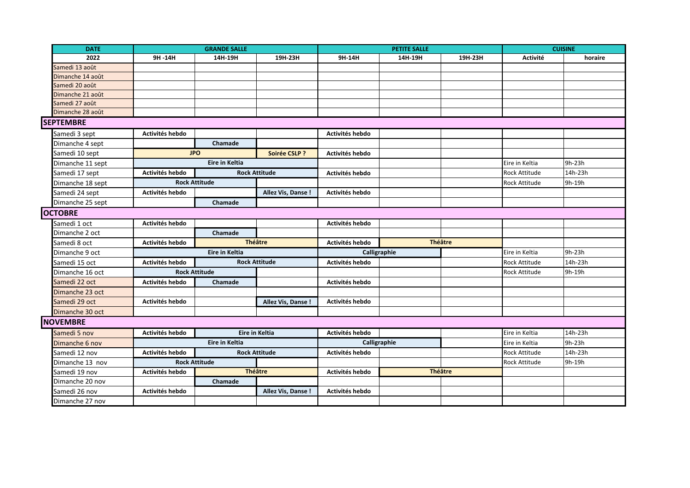| <b>DATE</b>      |                 | <b>GRANDE SALLE</b>                                                              |                       | <b>PETITE SALLE</b> |         |                | <b>CUISINE</b>       |         |  |
|------------------|-----------------|----------------------------------------------------------------------------------|-----------------------|---------------------|---------|----------------|----------------------|---------|--|
| 2022             | 9H -14H         | 14H-19H                                                                          | 19H-23H               | 9H-14H              | 14H-19H | 19H-23H        | Activité             | horaire |  |
| Samedi 13 août   |                 |                                                                                  |                       |                     |         |                |                      |         |  |
| Dimanche 14 août |                 |                                                                                  |                       |                     |         |                |                      |         |  |
| Samedi 20 août   |                 |                                                                                  |                       |                     |         |                |                      |         |  |
| Dimanche 21 août |                 |                                                                                  |                       |                     |         |                |                      |         |  |
| Samedi 27 août   |                 |                                                                                  |                       |                     |         |                |                      |         |  |
| Dimanche 28 août |                 |                                                                                  |                       |                     |         |                |                      |         |  |
| <b>SEPTEMBRE</b> |                 |                                                                                  |                       |                     |         |                |                      |         |  |
| Samedi 3 sept    | Activités hebdo |                                                                                  |                       | Activités hebdo     |         |                |                      |         |  |
| Dimanche 4 sept  |                 | Chamade                                                                          |                       |                     |         |                |                      |         |  |
| Samedi 10 sept   |                 | <b>JPO</b>                                                                       | <b>Soirée CSLP ?</b>  | Activités hebdo     |         |                |                      |         |  |
| Dimanche 11 sept |                 | Eire in Keltia                                                                   |                       |                     |         |                | Eire in Keltia       | 9h-23h  |  |
| Samedi 17 sept   | Activités hebdo |                                                                                  | <b>Rock Attitude</b>  | Activités hebdo     |         |                | <b>Rock Attitude</b> | 14h-23h |  |
| Dimanche 18 sept |                 | <b>Rock Attitude</b>                                                             |                       |                     |         |                | Rock Attitude        | 9h-19h  |  |
| Samedi 24 sept   | Activités hebdo |                                                                                  | Allez Vis, Danse !    | Activités hebdo     |         |                |                      |         |  |
| Dimanche 25 sept |                 | Chamade                                                                          |                       |                     |         |                |                      |         |  |
| <b>OCTOBRE</b>   |                 |                                                                                  |                       |                     |         |                |                      |         |  |
| Samedi 1 oct     | Activités hebdo |                                                                                  |                       | Activités hebdo     |         |                |                      |         |  |
| Dimanche 2 oct   |                 | Chamade                                                                          |                       |                     |         |                |                      |         |  |
| Samedi 8 oct     | Activités hebdo | <b>Théâtre</b>                                                                   |                       | Activités hebdo     |         | <b>Théâtre</b> |                      |         |  |
| Dimanche 9 oct   |                 | Eire in Keltia                                                                   |                       | Calligraphie        |         |                | Eire in Keltia       | 9h-23h  |  |
| Samedi 15 oct    | Activités hebdo |                                                                                  | <b>Rock Attitude</b>  | Activités hebdo     |         |                | <b>Rock Attitude</b> | 14h-23h |  |
| Dimanche 16 oct  |                 | <b>Rock Attitude</b>                                                             |                       |                     |         |                | Rock Attitude        | 9h-19h  |  |
| Samedi 22 oct    | Activités hebdo | Chamade                                                                          |                       | Activités hebdo     |         |                |                      |         |  |
| Dimanche 23 oct  |                 |                                                                                  |                       |                     |         |                |                      |         |  |
| Samedi 29 oct    | Activités hebdo |                                                                                  | Allez Vis, Danse !    | Activités hebdo     |         |                |                      |         |  |
| Dimanche 30 oct  |                 |                                                                                  |                       |                     |         |                |                      |         |  |
| <b>NOVEMBRE</b>  |                 |                                                                                  |                       |                     |         |                |                      |         |  |
| Samedi 5 nov     | Activités hebdo |                                                                                  | <b>Eire in Keltia</b> | Activités hebdo     |         |                | Eire in Keltia       | 14h-23h |  |
| Dimanche 6 nov   |                 |                                                                                  |                       | Calligraphie        |         |                | Eire in Keltia       | 9h-23h  |  |
| Samedi 12 nov    | Activités hebdo | Eire in Keltia<br><b>Rock Attitude</b><br><b>Rock Attitude</b><br><b>Théâtre</b> |                       | Activités hebdo     |         |                | Rock Attitude        | 14h-23h |  |
| Dimanche 13 nov  |                 |                                                                                  |                       |                     |         |                | Rock Attitude        | 9h-19h  |  |
| Samedi 19 nov    | Activités hebdo |                                                                                  |                       | Activités hebdo     |         | <b>Théâtre</b> |                      |         |  |
| Dimanche 20 nov  |                 | Chamade                                                                          |                       |                     |         |                |                      |         |  |
| Samedi 26 nov    | Activités hebdo |                                                                                  | Allez Vis, Danse !    | Activités hebdo     |         |                |                      |         |  |
| Dimanche 27 nov  |                 |                                                                                  |                       |                     |         |                |                      |         |  |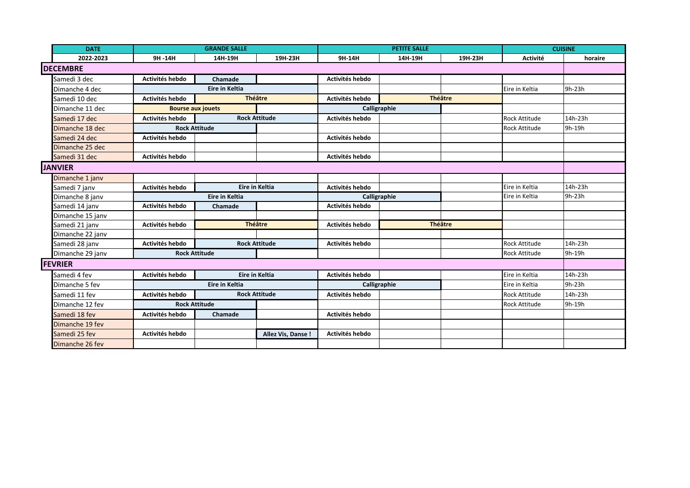|                 | <b>DATE</b>      | <b>GRANDE SALLE</b>                     |                      |                    | <b>PETITE SALLE</b> |                |                | <b>CUISINE</b>       |          |
|-----------------|------------------|-----------------------------------------|----------------------|--------------------|---------------------|----------------|----------------|----------------------|----------|
|                 | 2022-2023        | 9H-14H                                  | 14H-19H              | 19H-23H            | 9H-14H              | 14H-19H        | 19H-23H        | <b>Activité</b>      | horaire  |
| <b>DECEMBRE</b> |                  |                                         |                      |                    |                     |                |                |                      |          |
|                 | Samedi 3 dec     | Activités hebdo                         | Chamade              |                    | Activités hebdo     |                |                |                      |          |
|                 | Dimanche 4 dec   |                                         | Eire in Keltia       |                    |                     |                |                | Eire in Keltia       | $9h-23h$ |
|                 | Samedi 10 dec    | Activités hebdo                         | <b>Théâtre</b>       |                    | Activités hebdo     | <b>Théâtre</b> |                |                      |          |
|                 | Dimanche 11 dec  | <b>Bourse aux jouets</b>                |                      |                    |                     | Calligraphie   |                |                      |          |
|                 | Samedi 17 dec    | <b>Rock Attitude</b><br>Activités hebdo |                      |                    | Activités hebdo     |                |                | <b>Rock Attitude</b> | 14h-23h  |
|                 | Dimanche 18 dec  | <b>Rock Attitude</b>                    |                      |                    |                     |                |                | <b>Rock Attitude</b> | 9h-19h   |
|                 | Samedi 24 dec    | Activités hebdo                         |                      |                    | Activités hebdo     |                |                |                      |          |
|                 | Dimanche 25 dec  |                                         |                      |                    |                     |                |                |                      |          |
|                 | Samedi 31 dec    | Activités hebdo                         |                      |                    | Activités hebdo     |                |                |                      |          |
| <b>JANVIER</b>  |                  |                                         |                      |                    |                     |                |                |                      |          |
|                 | Dimanche 1 janv  |                                         |                      |                    |                     |                |                |                      |          |
|                 | Samedi 7 janv    | Activités hebdo                         | Eire in Keltia       |                    | Activités hebdo     |                |                | Eire in Keltia       | 14h-23h  |
|                 | Dimanche 8 janv  | <b>Eire in Keltia</b>                   |                      |                    | Calligraphie        |                |                | Eire in Keltia       | 9h-23h   |
|                 | Samedi 14 janv   | Activités hebdo                         | Chamade              |                    | Activités hebdo     |                |                |                      |          |
|                 | Dimanche 15 janv |                                         |                      |                    |                     |                |                |                      |          |
|                 | Samedi 21 janv   | <b>Théâtre</b><br>Activités hebdo       |                      |                    | Activités hebdo     |                | <b>Théâtre</b> |                      |          |
|                 | Dimanche 22 janv |                                         |                      |                    |                     |                |                |                      |          |
|                 | Samedi 28 janv   | Activités hebdo                         | <b>Rock Attitude</b> |                    | Activités hebdo     |                |                | <b>Rock Attitude</b> | 14h-23h  |
|                 | Dimanche 29 janv | <b>Rock Attitude</b>                    |                      |                    |                     |                |                | <b>Rock Attitude</b> | 9h-19h   |
| <b>FEVRIER</b>  |                  |                                         |                      |                    |                     |                |                |                      |          |
|                 | Samedi 4 fev     | Activités hebdo                         | Eire in Keltia       |                    | Activités hebdo     |                |                | Eire in Keltia       | 14h-23h  |
|                 | Dimanche 5 fev   | <b>Eire in Keltia</b>                   |                      |                    | Calligraphie        |                |                | Eire in Keltia       | 9h-23h   |
|                 | Samedi 11 fev    | Activités hebdo                         | <b>Rock Attitude</b> |                    | Activités hebdo     |                |                | <b>Rock Attitude</b> | 14h-23h  |
|                 | Dimanche 12 fev  | <b>Rock Attitude</b>                    |                      |                    |                     |                |                | <b>Rock Attitude</b> | 9h-19h   |
|                 | Samedi 18 fev    | Activités hebdo                         | Chamade              |                    | Activités hebdo     |                |                |                      |          |
|                 | Dimanche 19 fev  |                                         |                      |                    |                     |                |                |                      |          |
|                 | Samedi 25 fev    | Activités hebdo                         |                      | Allez Vis, Danse ! | Activités hebdo     |                |                |                      |          |
|                 | Dimanche 26 fev  |                                         |                      |                    |                     |                |                |                      |          |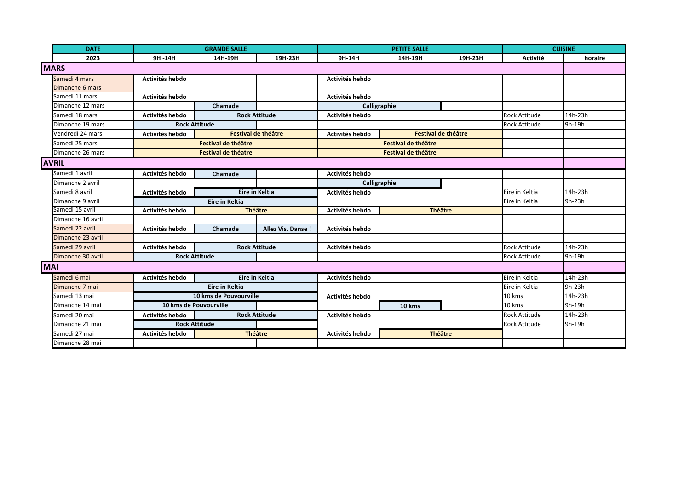|              | <b>DATE</b>       | <b>GRANDE SALLE</b>                     |                            |                    | <b>PETITE SALLE</b> |                            |                      | <b>CUISINE</b>       |         |
|--------------|-------------------|-----------------------------------------|----------------------------|--------------------|---------------------|----------------------------|----------------------|----------------------|---------|
|              | 2023              | 9H-14H                                  | 14H-19H                    | 19H-23H            | 9H-14H              | 14H-19H                    | 19H-23H              | <b>Activité</b>      | horaire |
| <b>MARS</b>  |                   |                                         |                            |                    |                     |                            |                      |                      |         |
|              | Samedi 4 mars     | Activités hebdo                         |                            |                    | Activités hebdo     |                            |                      |                      |         |
|              | Dimanche 6 mars   |                                         |                            |                    |                     |                            |                      |                      |         |
|              | Samedi 11 mars    | Activités hebdo                         |                            |                    | Activités hebdo     |                            |                      |                      |         |
|              | Dimanche 12 mars  |                                         | Chamade                    |                    | Calligraphie        |                            |                      |                      |         |
|              | Samedi 18 mars    | Activités hebdo                         | <b>Rock Attitude</b>       |                    | Activités hebdo     |                            |                      | <b>Rock Attitude</b> | 14h-23h |
|              | Dimanche 19 mars  | <b>Rock Attitude</b>                    |                            |                    |                     |                            |                      | <b>Rock Attitude</b> | 9h-19h  |
|              | Vendredi 24 mars  | Activités hebdo                         | Festival de théâtre        |                    | Activités hebdo     | Festival de théâtre        |                      |                      |         |
|              | Samedi 25 mars    |                                         | Festival de théâtre        |                    |                     | <b>Festival de théâtre</b> |                      |                      |         |
|              | Dimanche 26 mars  |                                         | <b>Festival de théatre</b> |                    |                     | Festival de théâtre        |                      |                      |         |
| <b>AVRIL</b> |                   |                                         |                            |                    |                     |                            |                      |                      |         |
|              | Samedi 1 avril    | Activités hebdo                         | Chamade                    |                    | Activités hebdo     |                            |                      |                      |         |
|              | Dimanche 2 avril  |                                         |                            | Calligraphie       |                     |                            |                      |                      |         |
|              | Samedi 8 avril    | Activités hebdo                         | <b>Eire in Keltia</b>      |                    | Activités hebdo     |                            |                      | Eire in Keltia       | 14h-23h |
|              | Dimanche 9 avril  | Eire in Keltia                          |                            |                    |                     |                            | Eire in Keltia       | 9h-23h               |         |
|              | Samedi 15 avril   | <b>Théâtre</b><br>Activités hebdo       |                            | Activités hebdo    | <b>Théâtre</b>      |                            |                      |                      |         |
|              | Dimanche 16 avril |                                         |                            |                    |                     |                            |                      |                      |         |
|              | Samedi 22 avril   | Activités hebdo                         | Chamade                    | Allez Vis, Danse ! | Activités hebdo     |                            |                      |                      |         |
|              | Dimanche 23 avril |                                         |                            |                    |                     |                            |                      |                      |         |
|              | Samedi 29 avril   | Activités hebdo                         | <b>Rock Attitude</b>       |                    | Activités hebdo     |                            |                      | <b>Rock Attitude</b> | 14h-23h |
|              | Dimanche 30 avril | <b>Rock Attitude</b>                    |                            |                    |                     |                            |                      | Rock Attitude        | 9h-19h  |
| <b>MAI</b>   |                   |                                         |                            |                    |                     |                            |                      |                      |         |
|              | Samedi 6 mai      | Activités hebdo                         | <b>Eire in Keltia</b>      |                    | Activités hebdo     |                            |                      | Eire in Keltia       | 14h-23h |
|              | Dimanche 7 mai    | <b>Eire in Keltia</b>                   |                            |                    |                     |                            | Eire in Keltia       | 9h-23h               |         |
|              | Samedi 13 mai     | 10 kms de Pouvourville                  |                            | Activités hebdo    |                     |                            | 10 kms               | 14h-23h              |         |
|              | Dimanche 14 mai   | 10 kms de Pouvourville                  |                            |                    | 10 kms              |                            | 10 kms               | 9h-19h               |         |
|              | Samedi 20 mai     | Activités hebdo<br><b>Rock Attitude</b> |                            | Activités hebdo    |                     |                            | <b>Rock Attitude</b> | 14h-23h              |         |
|              | Dimanche 21 mai   |                                         | <b>Rock Attitude</b>       |                    |                     |                            |                      | <b>Rock Attitude</b> | 9h-19h  |
|              | Samedi 27 mai     | <b>Théâtre</b><br>Activités hebdo       |                            | Activités hebdo    | <b>Théâtre</b>      |                            |                      |                      |         |
|              | Dimanche 28 mai   |                                         |                            |                    |                     |                            |                      |                      |         |